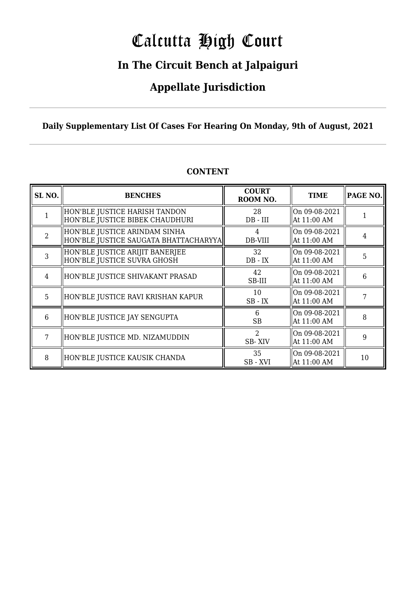# Calcutta High Court

### **In The Circuit Bench at Jalpaiguri**

### **Appellate Jurisdiction**

### **Daily Supplementary List Of Cases For Hearing On Monday, 9th of August, 2021**

| SL <sub>NO.</sub> | <b>BENCHES</b>                                                          | <b>COURT</b><br>ROOM NO.       | <b>TIME</b>                  | <b>PAGE NO.</b> |
|-------------------|-------------------------------------------------------------------------|--------------------------------|------------------------------|-----------------|
|                   | HON'BLE JUSTICE HARISH TANDON<br>HON'BLE JUSTICE BIBEK CHAUDHURI        | 28<br>$DB$ - $III$             | On 09-08-2021<br>At 11:00 AM |                 |
| $\overline{2}$    | HON'BLE JUSTICE ARINDAM SINHA<br> HON'BLE JUSTICE SAUGATA BHATTACHARYYA | 4<br>DB-VIII                   | On 09-08-2021<br>At 11:00 AM | 4               |
| 3                 | HON'BLE JUSTICE ARIJIT BANERJEE<br>HON'BLE JUSTICE SUVRA GHOSH          | 32<br>$DB - IX$                | On 09-08-2021<br>At 11:00 AM | 5               |
| 4                 | HON'BLE JUSTICE SHIVAKANT PRASAD                                        | 42<br>SB-III                   | On 09-08-2021<br>At 11:00 AM | 6               |
| 5                 | HON'BLE JUSTICE RAVI KRISHAN KAPUR                                      | 10<br>$SB$ - $IX$              | On 09-08-2021<br>At 11:00 AM |                 |
| 6                 | HON'BLE JUSTICE JAY SENGUPTA                                            | 6<br><b>SB</b>                 | On 09-08-2021<br>At 11:00 AM | 8               |
| 7                 | HON'BLE JUSTICE MD. NIZAMUDDIN                                          | $\mathcal{D}$<br><b>SB-XIV</b> | On 09-08-2021<br>At 11:00 AM | 9               |
| 8                 | HON'BLE JUSTICE KAUSIK CHANDA                                           | 35<br>SB-XVI                   | On 09-08-2021<br>At 11:00 AM | 10              |

#### **CONTENT**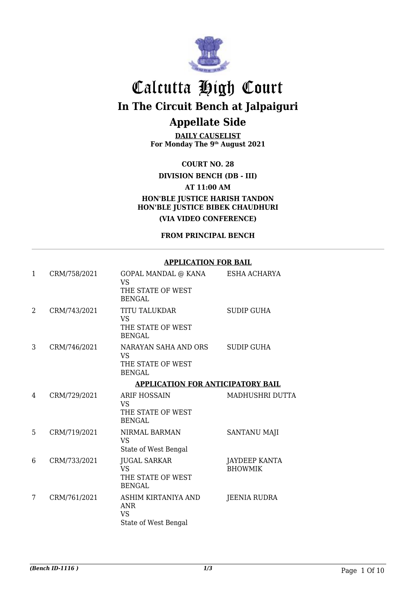

**DAILY CAUSELIST For Monday The 9th August 2021**

**COURT NO. 28**

**DIVISION BENCH (DB - III)**

**AT 11:00 AM**

**HON'BLE JUSTICE HARISH TANDON HON'BLE JUSTICE BIBEK CHAUDHURI (VIA VIDEO CONFERENCE)**

**FROM PRINCIPAL BENCH**

#### **APPLICATION FOR BAIL**

| $\mathbf{1}$ | CRM/758/2021 | GOPAL MANDAL @ KANA<br><b>VS</b><br>THE STATE OF WEST<br><b>BENGAL</b>  | ESHA ACHARYA                           |
|--------------|--------------|-------------------------------------------------------------------------|----------------------------------------|
| 2            | CRM/743/2021 | <b>TITU TALUKDAR</b><br><b>VS</b><br>THE STATE OF WEST<br><b>BENGAL</b> | <b>SUDIP GUHA</b>                      |
| 3            | CRM/746/2021 | NARAYAN SAHA AND ORS<br><b>VS</b><br>THE STATE OF WEST<br><b>BENGAL</b> | <b>SUDIP GUHA</b>                      |
|              |              | <b>APPLICATION FOR ANTICIPATORY BAIL</b>                                |                                        |
| 4            | CRM/729/2021 | ARIF HOSSAIN<br><b>VS</b><br>THE STATE OF WEST<br><b>BENGAL</b>         | MADHUSHRI DUTTA                        |
| 5            | CRM/719/2021 | NIRMAL BARMAN<br><b>VS</b><br>State of West Bengal                      | <b>SANTANU MAJI</b>                    |
| 6            | CRM/733/2021 | <b>JUGAL SARKAR</b><br><b>VS</b><br>THE STATE OF WEST<br><b>BENGAL</b>  | <b>JAYDEEP KANTA</b><br><b>BHOWMIK</b> |
| 7            | CRM/761/2021 | ASHIM KIRTANIYA AND<br><b>ANR</b><br><b>VS</b><br>State of West Bengal  | JEENIA RUDRA                           |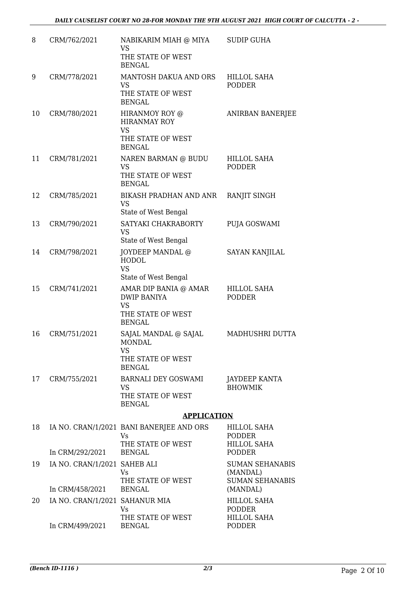| 8  | CRM/762/2021                   | NABIKARIM MIAH @ MIYA<br><b>VS</b>                       | <b>SUDIP GUHA</b>                   |
|----|--------------------------------|----------------------------------------------------------|-------------------------------------|
|    |                                | THE STATE OF WEST<br><b>BENGAL</b>                       |                                     |
| 9  | CRM/778/2021                   | MANTOSH DAKUA AND ORS<br><b>VS</b>                       | <b>HILLOL SAHA</b><br><b>PODDER</b> |
|    |                                | THE STATE OF WEST<br><b>BENGAL</b>                       |                                     |
| 10 | CRM/780/2021                   | HIRANMOY ROY @<br><b>HIRANMAY ROY</b><br><b>VS</b>       | ANIRBAN BANERJEE                    |
|    |                                | THE STATE OF WEST<br><b>BENGAL</b>                       |                                     |
| 11 | CRM/781/2021                   | NAREN BARMAN @ BUDU<br><b>VS</b>                         | HILLOL SAHA<br><b>PODDER</b>        |
|    |                                | THE STATE OF WEST<br><b>BENGAL</b>                       |                                     |
| 12 | CRM/785/2021                   | BIKASH PRADHAN AND ANR<br><b>VS</b>                      | RANJIT SINGH                        |
|    |                                | State of West Bengal                                     |                                     |
| 13 | CRM/790/2021                   | SATYAKI CHAKRABORTY<br><b>VS</b><br>State of West Bengal | PUJA GOSWAMI                        |
| 14 | CRM/798/2021                   | JOYDEEP MANDAL @                                         | <b>SAYAN KANJILAL</b>               |
|    |                                | <b>HODOL</b><br><b>VS</b>                                |                                     |
|    |                                | State of West Bengal                                     |                                     |
| 15 | CRM/741/2021                   | AMAR DIP BANIA @ AMAR<br><b>DWIP BANIYA</b><br><b>VS</b> | <b>HILLOL SAHA</b><br><b>PODDER</b> |
|    |                                | THE STATE OF WEST<br><b>BENGAL</b>                       |                                     |
| 16 | CRM/751/2021                   | SAJAL MANDAL @ SAJAL<br><b>MONDAL</b><br><b>VS</b>       | MADHUSHRI DUTTA                     |
|    |                                | THE STATE OF WEST<br><b>BENGAL</b>                       |                                     |
| 17 | CRM/755/2021                   | <b>BARNALI DEY GOSWAMI</b>                               | JAYDEEP KANTA                       |
|    |                                | VS.<br>THE STATE OF WEST<br><b>BENGAL</b>                | <b>BHOWMIK</b>                      |
|    |                                | <b>APPLICATION</b>                                       |                                     |
| 18 |                                | IA NO. CRAN/1/2021 BANI BANERJEE AND ORS<br>Vs           | HILLOL SAHA<br><b>PODDER</b>        |
|    | In CRM/292/2021                | THE STATE OF WEST<br><b>BENGAL</b>                       | <b>HILLOL SAHA</b><br><b>PODDER</b> |
| 19 | IA NO. CRAN/1/2021 SAHEB ALI   |                                                          | <b>SUMAN SEHANABIS</b>              |
|    |                                | Vs.                                                      | (MANDAL)                            |
|    | In CRM/458/2021                | THE STATE OF WEST<br><b>BENGAL</b>                       | <b>SUMAN SEHANABIS</b><br>(MANDAL)  |
| 20 | IA NO. CRAN/1/2021 SAHANUR MIA | Vs                                                       | <b>HILLOL SAHA</b><br><b>PODDER</b> |
|    |                                | THE STATE OF WEST                                        | <b>HILLOL SAHA</b>                  |
|    | In CRM/499/2021                | <b>BENGAL</b>                                            | <b>PODDER</b>                       |

In CRM/499/2021 BENGAL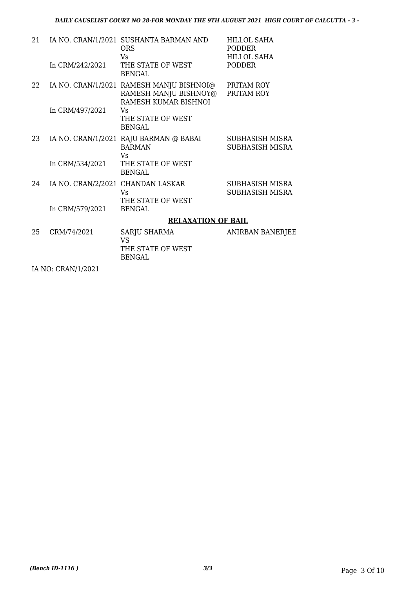| 21 |                                   | IA NO. CRAN/1/2021 SUSHANTA BARMAN AND<br><b>ORS</b><br>Vs                                | <b>HILLOL SAHA</b><br><b>PODDER</b><br><b>HILLOL SAHA</b> |
|----|-----------------------------------|-------------------------------------------------------------------------------------------|-----------------------------------------------------------|
|    | In CRM/242/2021                   | THE STATE OF WEST<br><b>BENGAL</b>                                                        | <b>PODDER</b>                                             |
| 22 |                                   | IA NO. CRAN/1/2021 RAMESH MANJU BISHNOI@<br>RAMESH MANJU BISHNOY@<br>RAMESH KUMAR BISHNOI | PRITAM ROY<br>PRITAM ROY                                  |
|    | In CRM/497/2021                   | Vs<br>THE STATE OF WEST<br>BENGAL                                                         |                                                           |
| 23 |                                   | IA NO. CRAN/1/2021 RAJU BARMAN @ BABAI<br><b>BARMAN</b><br>Vs                             | SUBHASISH MISRA<br>SUBHASISH MISRA                        |
|    | In CRM/534/2021                   | THE STATE OF WEST<br><b>BENGAL</b>                                                        |                                                           |
| 24 | IA NO. CRAN/2/2021 CHANDAN LASKAR | Vs<br>THE STATE OF WEST                                                                   | SUBHASISH MISRA<br>SUBHASISH MISRA                        |
|    | In CRM/579/2021                   | <b>BENGAL</b>                                                                             |                                                           |
|    |                                   | <b>RELAXATION OF BAIL</b>                                                                 |                                                           |
| 25 | CRM/74/2021                       | SARJU SHARMA<br><b>VS</b><br>THE STATE OF WEST<br><b>BENGAL</b>                           | ANIRBAN BANERJEE                                          |
|    |                                   |                                                                                           |                                                           |

IA NO: CRAN/1/2021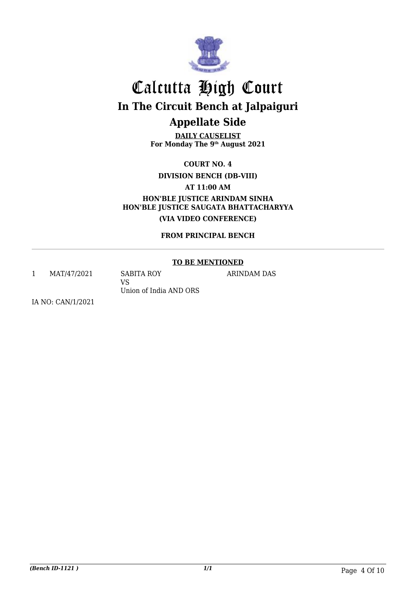

**DAILY CAUSELIST For Monday The 9th August 2021**

**COURT NO. 4**

**DIVISION BENCH (DB-VIII)**

**AT 11:00 AM**

**HON'BLE JUSTICE ARINDAM SINHA HON'BLE JUSTICE SAUGATA BHATTACHARYYA (VIA VIDEO CONFERENCE)**

**FROM PRINCIPAL BENCH**

#### **TO BE MENTIONED**

ARINDAM DAS

1 MAT/47/2021 SABITA ROY

VS Union of India AND ORS

IA NO: CAN/1/2021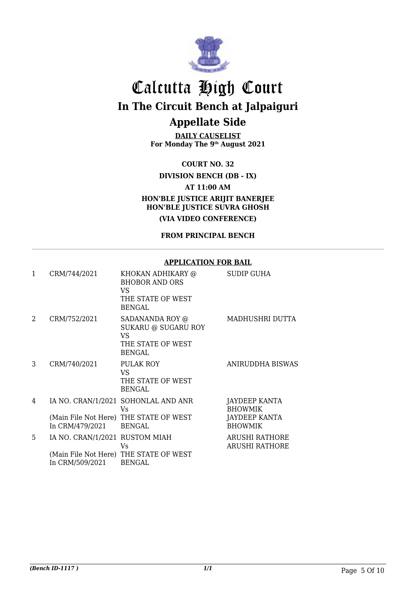

**DAILY CAUSELIST For Monday The 9th August 2021**

**COURT NO. 32**

**DIVISION BENCH (DB - IX)**

**AT 11:00 AM**

**HON'BLE JUSTICE ARIJIT BANERJEE HON'BLE JUSTICE SUVRA GHOSH**

**(VIA VIDEO CONFERENCE)**

**FROM PRINCIPAL BENCH**

#### **APPLICATION FOR BAIL**

| 1 | CRM/744/2021                                      | KHOKAN ADHIKARY @<br><b>BHOBOR AND ORS</b><br>VS.<br>THE STATE OF WEST<br><b>BENGAL</b>               | SUDIP GUHA                                                                |
|---|---------------------------------------------------|-------------------------------------------------------------------------------------------------------|---------------------------------------------------------------------------|
| 2 | CRM/752/2021                                      | SADANANDA ROY @<br><b>SUKARU @ SUGARU ROY</b><br>VS.<br>THE STATE OF WEST<br><b>BENGAL</b>            | MADHUSHRI DUTTA                                                           |
| 3 | CRM/740/2021                                      | PULAK ROY<br>VS.<br>THE STATE OF WEST<br><b>BENGAL</b>                                                | <b>ANIRUDDHA BISWAS</b>                                                   |
| 4 | In CRM/479/2021                                   | IA NO. CRAN/1/2021 SOHONLAL AND ANR<br>Vs.<br>(Main File Not Here) THE STATE OF WEST<br><b>BENGAL</b> | JAYDEEP KANTA<br><b>BHOWMIK</b><br><b>JAYDEEP KANTA</b><br><b>BHOWMIK</b> |
| 5 | IA NO. CRAN/1/2021 RUSTOM MIAH<br>In CRM/509/2021 | Vs<br>(Main File Not Here) THE STATE OF WEST<br><b>BENGAL</b>                                         | <b>ARUSHI RATHORE</b><br><b>ARUSHI RATHORE</b>                            |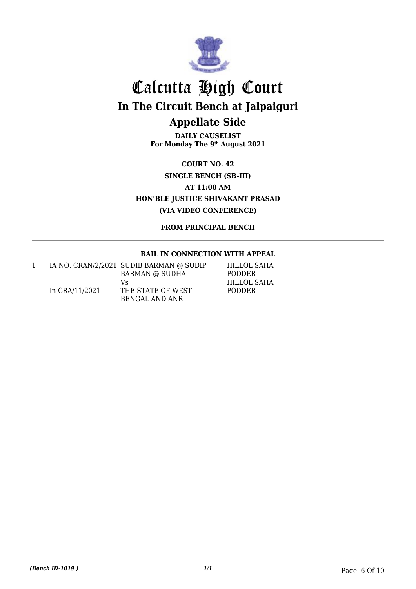

**DAILY CAUSELIST For Monday The 9th August 2021**

**COURT NO. 42 SINGLE BENCH (SB-III) AT 11:00 AM HON'BLE JUSTICE SHIVAKANT PRASAD (VIA VIDEO CONFERENCE)**

**FROM PRINCIPAL BENCH**

#### **BAIL IN CONNECTION WITH APPEAL**

|                | IA NO. CRAN/2/2021 SUDIB BARMAN @ SUDIP | HILLOL SAHA   |
|----------------|-----------------------------------------|---------------|
|                | <b>BARMAN @ SUDHA</b>                   | <b>PODDER</b> |
|                | V٢                                      | HILLOL SAHA   |
| In CRA/11/2021 | THE STATE OF WEST                       | <b>PODDER</b> |
|                | BENGAL AND ANR                          |               |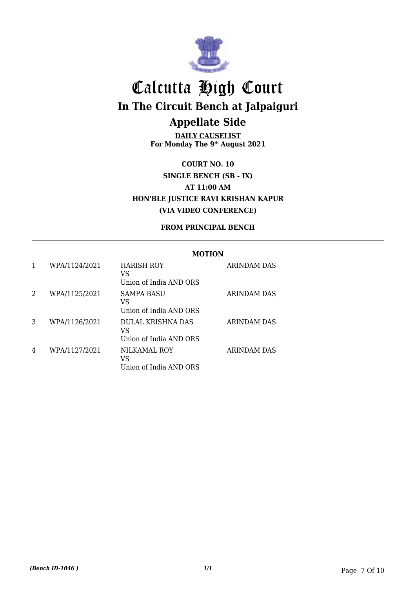

**DAILY CAUSELIST For Monday The 9th August 2021**

**COURT NO. 10 SINGLE BENCH (SB - IX) AT 11:00 AM HON'BLE JUSTICE RAVI KRISHAN KAPUR (VIA VIDEO CONFERENCE)**

#### **FROM PRINCIPAL BENCH**

#### **MOTION**

|   | WPA/1124/2021 | HARISH ROY<br>VS<br>Union of India AND ORS        | ARINDAM DAS        |
|---|---------------|---------------------------------------------------|--------------------|
| 2 | WPA/1125/2021 | SAMPA BASU<br>VS<br>Union of India AND ORS        | <b>ARINDAM DAS</b> |
| 3 | WPA/1126/2021 | DULAL KRISHNA DAS<br>VS<br>Union of India AND ORS | ARINDAM DAS        |
| 4 | WPA/1127/2021 | NILKAMAL ROY<br>VS<br>Union of India AND ORS      | <b>ARINDAM DAS</b> |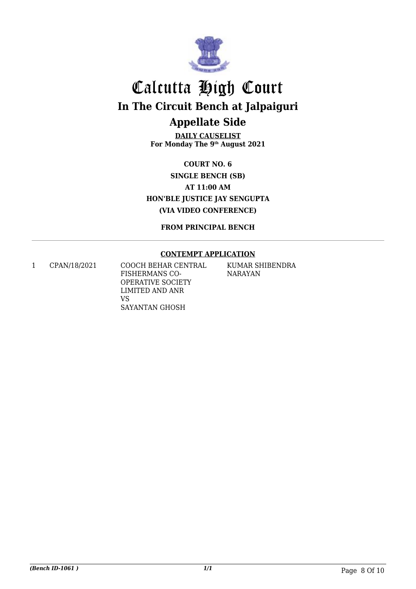

**DAILY CAUSELIST For Monday The 9th August 2021**

**COURT NO. 6 SINGLE BENCH (SB) AT 11:00 AM HON'BLE JUSTICE JAY SENGUPTA (VIA VIDEO CONFERENCE)**

**FROM PRINCIPAL BENCH**

#### **CONTEMPT APPLICATION**

1 CPAN/18/2021 COOCH BEHAR CENTRAL FISHERMANS CO-OPERATIVE SOCIETY LIMITED AND ANR VS SAYANTAN GHOSH

KUMAR SHIBENDRA NARAYAN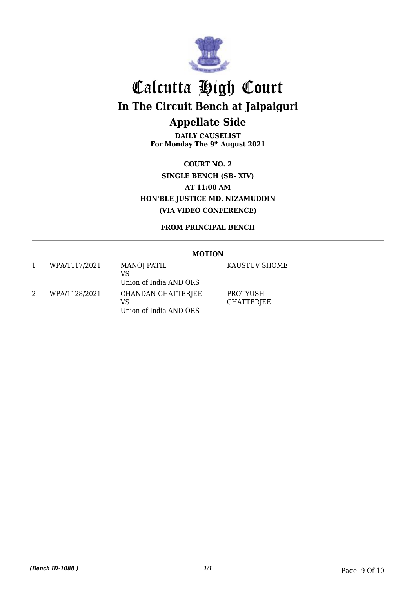

**DAILY CAUSELIST For Monday The 9th August 2021**

**COURT NO. 2 SINGLE BENCH (SB- XIV) AT 11:00 AM HON'BLE JUSTICE MD. NIZAMUDDIN (VIA VIDEO CONFERENCE)**

**FROM PRINCIPAL BENCH**

#### **MOTION**

|                       | WPA/1117/2021 | MANOJ PATIL<br>VS<br>Union of India AND ORS        |
|-----------------------|---------------|----------------------------------------------------|
| $\mathcal{D}_{\cdot}$ | WPA/1128/2021 | CHANDAN CHATTERJEE<br>VS<br>Union of India AND ORS |

KAUSTUV SHOME

PROTYUSH CHATTERJEE